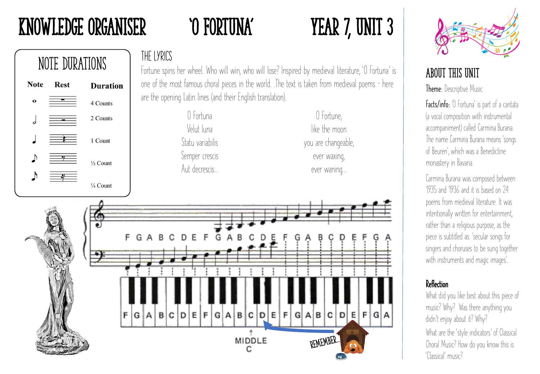# Knowledge Organiser 'O Fortuna' Year 7, Unit 3



### THE LYRICS

Fortune spins her wheel. Who will win, who will lose? Inspired by medieval literature, 'O Fortuna' is one of the most famous choral pieces in the world. .The text is taken from medieval poems – here are the opening Latin lines (and their English translation).

| () Fortuna       |  |
|------------------|--|
| Velut luna       |  |
| Statu variabilis |  |
| Semper crescis   |  |
| Aut decrescis    |  |

O Fortune, like the moon you are changeable, ever waxing, ever waning…





# About this Unit

Theme: Descriptive Music

Facts/info: 'O Fortuna' is part of a cantata (a vocal composition with instrumental accompaniment) called Carmina Burana. The name Carmina Burana means 'songs of Beuren', which was a Benedictine monastery in Bavaria.

Carmina Burana was composed between 1935 and 1936 and it is based on 24 poems from medieval literature. It was intentionally written for entertainment, rather than a religious purpose, as the piece is subtitled as: 'secular songs for singers and choruses to be sung together with instruments and magic images'.

### Reflection

What did you like best about this piece of music? Why? Was there anything you didn't enjoy about it? Why?

What are the 'style indicators' of Classical Choral Music? How do you know this is 'Classical' music?